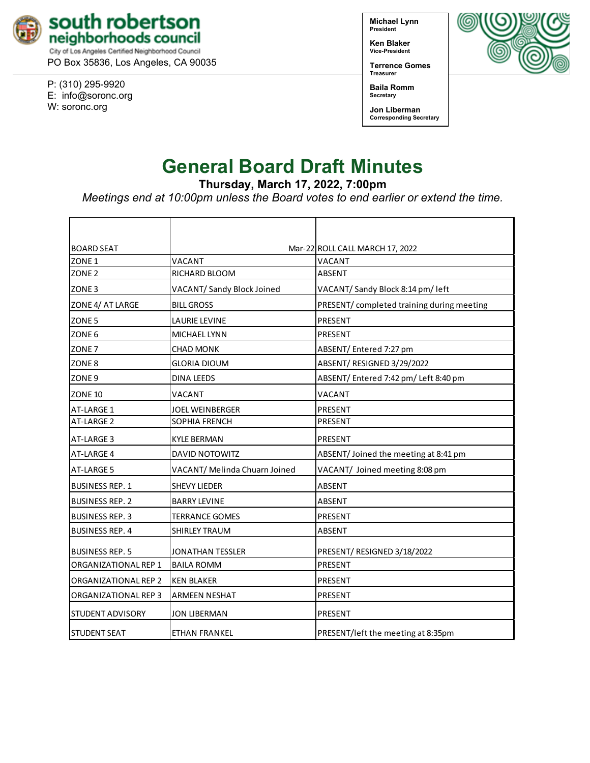

PO Box 35836, Los Angeles, CA 90035

P: (310) 295-9920 E: [info@soronc.org](mailto:info@soronc.org) W: soronc.org

**Michael Lynn President**

**Ken Blaker Vice-President**

**Terrence Gomes Treasurer**



**Baila Romm Secretary**

**Jon Liberman Corresponding Secretary**

# **General Board Draft Minutes**

**Thursday, March 17, 2022, 7:00pm**

*Meetings end at 10:00pm unless the Board votes to end earlier or extend the time.*

| <b>BOARD SEAT</b>       |                               | Mar-22 ROLL CALL MARCH 17, 2022            |
|-------------------------|-------------------------------|--------------------------------------------|
| ZONE <sub>1</sub>       | VACANT                        | VACANT                                     |
| ZONE <sub>2</sub>       | RICHARD BLOOM                 | ABSENT                                     |
| ZONE <sub>3</sub>       | VACANT/ Sandy Block Joined    | VACANT/Sandy Block 8:14 pm/left            |
| ZONE 4/ AT LARGE        | <b>BILL GROSS</b>             | PRESENT/ completed training during meeting |
| ZONE <sub>5</sub>       | <b>LAURIE LEVINE</b>          | PRESENT                                    |
| ZONE <sub>6</sub>       | MICHAEL LYNN                  | PRESENT                                    |
| ZONE <sub>7</sub>       | <b>CHAD MONK</b>              | ABSENT/Entered 7:27 pm                     |
| ZONE <sub>8</sub>       | <b>GLORIA DIOUM</b>           | ABSENT/ RESIGNED 3/29/2022                 |
| ZONE <sub>9</sub>       | <b>DINA LEEDS</b>             | ABSENT/Entered 7:42 pm/ Left 8:40 pm       |
| <b>ZONE 10</b>          | VACANT                        | VACANT                                     |
| AT-LARGE 1              | JOEL WEINBERGER               | PRESENT                                    |
| AT-LARGE 2              | <b>SOPHIA FRENCH</b>          | PRESENT                                    |
| AT-LARGE 3              | <b>KYLE BERMAN</b>            | <b>PRESENT</b>                             |
| AT-LARGE 4              | <b>DAVID NOTOWITZ</b>         | ABSENT/Joined the meeting at 8:41 pm       |
| <b>AT-LARGE 5</b>       | VACANT/ Melinda Chuarn Joined | VACANT/ Joined meeting 8:08 pm             |
| <b>BUSINESS REP. 1</b>  | <b>SHEVY LIEDER</b>           | <b>ABSENT</b>                              |
| <b>BUSINESS REP. 2</b>  | <b>BARRY LEVINE</b>           | <b>ABSENT</b>                              |
| <b>BUSINESS REP. 3</b>  | <b>TERRANCE GOMES</b>         | <b>PRESENT</b>                             |
| <b>BUSINESS REP. 4</b>  | <b>SHIRLEY TRAUM</b>          | ABSENT                                     |
| <b>BUSINESS REP. 5</b>  | <b>JONATHAN TESSLER</b>       | PRESENT/ RESIGNED 3/18/2022                |
| ORGANIZATIONAL REP 1    | <b>BAILA ROMM</b>             | PRESENT                                    |
| ORGANIZATIONAL REP 2    | <b>KEN BLAKER</b>             | PRESENT                                    |
| ORGANIZATIONAL REP 3    | <b>ARMEEN NESHAT</b>          | PRESENT                                    |
| <b>STUDENT ADVISORY</b> | <b>JON LIBERMAN</b>           | PRESENT                                    |
| <b>STUDENT SEAT</b>     | ETHAN FRANKEL                 | PRESENT/left the meeting at 8:35pm         |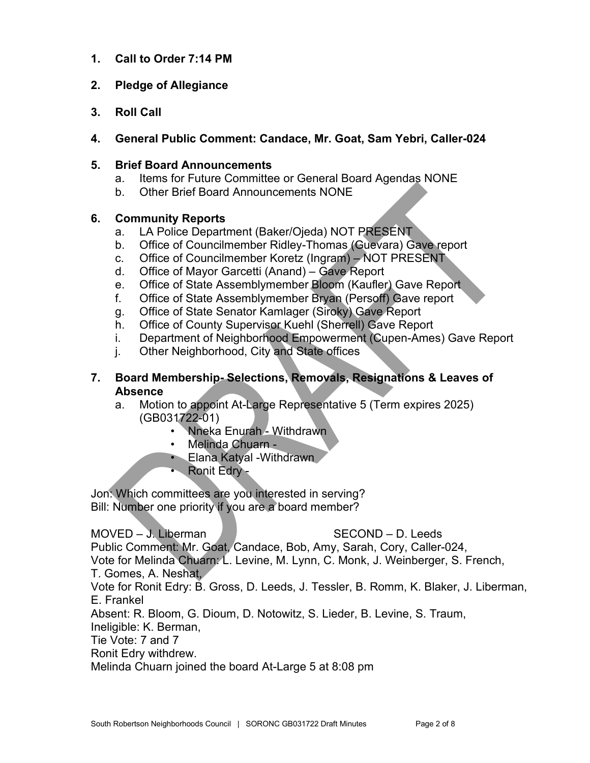- **1. Call to Order 7:14 PM**
- **2. Pledge of Allegiance**
- **3. Roll Call**
- **4. General Public Comment: Candace, Mr. Goat, Sam Yebri, Caller-024**

#### **5. Brief Board Announcements**

- a. Items for Future Committee or General Board Agendas NONE
- b. Other Brief Board Announcements NONE

#### **6. Community Reports**

- a. LA Police Department (Baker/Ojeda) NOT PRESENT
- b. Office of Councilmember Ridley-Thomas (Guevara) Gave report
- c. Office of Councilmember Koretz (Ingram) NOT PRESENT
- d. Office of Mayor Garcetti (Anand) Gave Report
- e. Office of State Assemblymember Bloom (Kaufler) Gave Report
- f. Office of State Assemblymember Bryan (Persoff) Gave report
- g. Office of State Senator Kamlager (Siroky) Gave Report
- h. Office of County Supervisor Kuehl (Sherrell) Gave Report
- i. Department of Neighborhood Empowerment (Cupen-Ames) Gave Report
- j. Other Neighborhood, City and State offices

#### **7. Board Membership- Selections, Removals, Resignations & Leaves of Absence**

- a. Motion to appoint At-Large Representative 5 (Term expires 2025) (GB031722-01)
	- Nneka Enurah Withdrawn
	- Melinda Chuarn -
	- Elana Katyal Withdrawn
	- Ronit Edry -

Jon: Which committees are you interested in serving? Bill: Number one priority if you are a board member?

# $MOVED - J. Liberman$  SECOND – D. Leeds

Public Comment: Mr. Goat, Candace, Bob, Amy, Sarah, Cory, Caller-024,

Vote for Melinda Chuarn: L. Levine, M. Lynn, C. Monk, J. Weinberger, S. French,

T. Gomes, A. Neshat,

Vote for Ronit Edry: B. Gross, D. Leeds, J. Tessler, B. Romm, K. Blaker, J. Liberman, E. Frankel

Absent: R. Bloom, G. Dioum, D. Notowitz, S. Lieder, B. Levine, S. Traum,

Ineligible: K. Berman,

Tie Vote: 7 and 7

Ronit Edry withdrew.

Melinda Chuarn joined the board At-Large 5 at 8:08 pm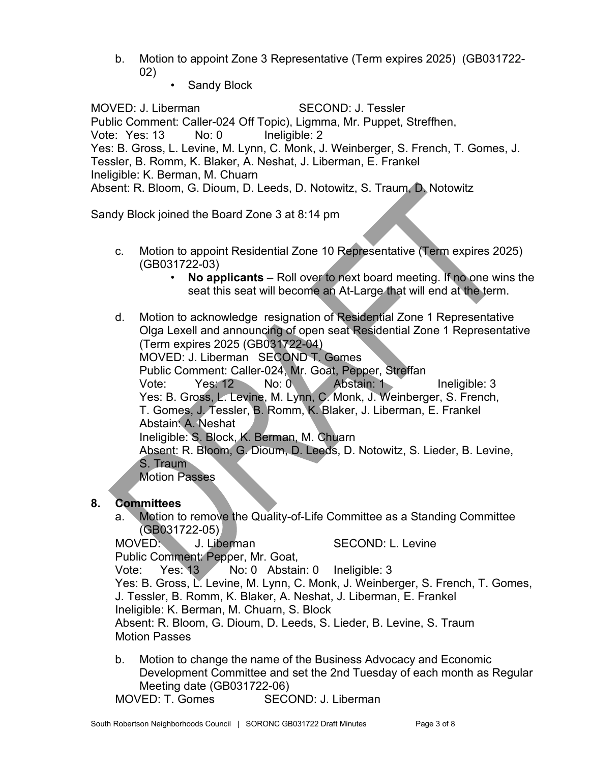b. Motion to appoint Zone 3 Representative (Term expires 2025) (GB031722- 02)

Sandy Block

MOVED: J. Liberman SECOND: J. Tessler Public Comment: Caller-024 Off Topic), Ligmma, Mr. Puppet, Streffhen, Vote: Yes: 13 No: 0 Ineligible: 2 Yes: B. Gross, L. Levine, M. Lynn, C. Monk, J. Weinberger, S. French, T. Gomes, J. Tessler, B. Romm, K. Blaker, A. Neshat, J. Liberman, E. Frankel Ineligible: K. Berman, M. Chuarn Absent: R. Bloom, G. Dioum, D. Leeds, D. Notowitz, S. Traum, D. Notowitz

Sandy Block joined the Board Zone 3 at 8:14 pm

- c. Motion to appoint Residential Zone 10 Representative (Term expires 2025) (GB031722-03)
	- **No applicants** Roll over to next board meeting. If no one wins the seat this seat will become an At-Large that will end at the term.
- d. Motion to acknowledge resignation of Residential Zone 1 Representative Olga Lexell and announcing of open seat Residential Zone 1 Representative (Term expires 2025 (GB031722-04) MOVED: J. Liberman SECOND T. Gomes Public Comment: Caller-024, Mr. Goat, Pepper, Streffan Vote: Yes: 12 No: 0 Abstain: 1 Ineligible: 3 Yes: B. Gross, L. Levine, M. Lynn, C. Monk, J. Weinberger, S. French, T. Gomes, J. Tessler, B. Romm, K. Blaker, J. Liberman, E. Frankel Abstain: A. Neshat Ineligible: S. Block, K. Berman, M. Chuarn Absent: R. Bloom, G. Dioum, D. Leeds, D. Notowitz, S. Lieder, B. Levine, S. Traum Motion Passes

# **8. Committees**

a. Motion to remove the Quality-of-Life Committee as a Standing Committee (GB031722-05)

MOVED: J. Liberman SECOND: L. Levine

Public Comment: Pepper, Mr. Goat,

Vote: Yes: 13 No: 0 Abstain: 0 Ineligible: 3

Yes: B. Gross, L. Levine, M. Lynn, C. Monk, J. Weinberger, S. French, T. Gomes,

J. Tessler, B. Romm, K. Blaker, A. Neshat, J. Liberman, E. Frankel

Ineligible: K. Berman, M. Chuarn, S. Block

Absent: R. Bloom, G. Dioum, D. Leeds, S. Lieder, B. Levine, S. Traum Motion Passes

- b. Motion to change the name of the Business Advocacy and Economic Development Committee and set the 2nd Tuesday of each month as Regular Meeting date (GB031722-06)
- MOVED: T. Gomes SECOND: J. Liberman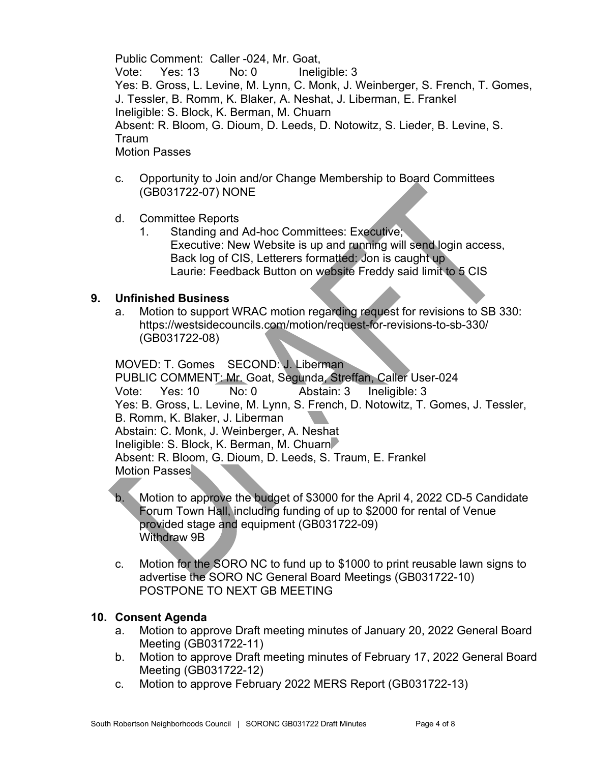Public Comment: Caller -024, Mr. Goat, Vote: Yes: 13 No: 0 Ineligible: 3 Yes: B. Gross, L. Levine, M. Lynn, C. Monk, J. Weinberger, S. French, T. Gomes, J. Tessler, B. Romm, K. Blaker, A. Neshat, J. Liberman, E. Frankel Ineligible: S. Block, K. Berman, M. Chuarn Absent: R. Bloom, G. Dioum, D. Leeds, D. Notowitz, S. Lieder, B. Levine, S. Traum Motion Passes

- c. Opportunity to Join and/or Change Membership to Board Committees (GB031722-07) NONE
- d. Committee Reports
	- 1. Standing and Ad-hoc Committees: Executive; Executive: New Website is up and running will send login access, Back log of CIS, Letterers formatted: Jon is caught up Laurie: Feedback Button on website Freddy said limit to 5 CIS

#### **9. Unfinished Business**

a. Motion to support WRAC motion regarding request for revisions to SB 330: <https://westsidecouncils.com/motion/request-for-revisions-to-sb-330/> (GB031722-08)

MOVED: T. Gomes SECOND: J. Liberman PUBLIC COMMENT: Mr. Goat, Segunda, Streffan, Caller User-024 Vote: Yes: 10 No: 0 Abstain: 3 Ineligible: 3 Yes: B. Gross, L. Levine, M. Lynn, S. French, D. Notowitz, T. Gomes, J. Tessler, B. Romm, K. Blaker, J. Liberman Abstain: C. Monk, J. Weinberger, A. Neshat Ineligible: S. Block, K. Berman, M. Chuarn Absent: R. Bloom, G. Dioum, D. Leeds, S. Traum, E. Frankel Motion Passes

- b. Motion to approve the budget of \$3000 for the April 4, 2022 CD-5 Candidate Forum Town Hall, including funding of up to \$2000 for rental of Venue provided stage and equipment (GB031722-09) Withdraw 9B
- c. Motion for the SORO NC to fund up to \$1000 to print reusable lawn signs to advertise the SORO NC General Board Meetings (GB031722-10) POSTPONE TO NEXT GB MEETING

#### **10. Consent Agenda**

- a. Motion to approve Draft meeting minutes of January 20, 2022 General Board Meeting (GB031722-11)
- b. Motion to approve Draft meeting minutes of February 17, 2022 General Board Meeting (GB031722-12)
- c. Motion to approve February 2022 MERS Report (GB031722-13)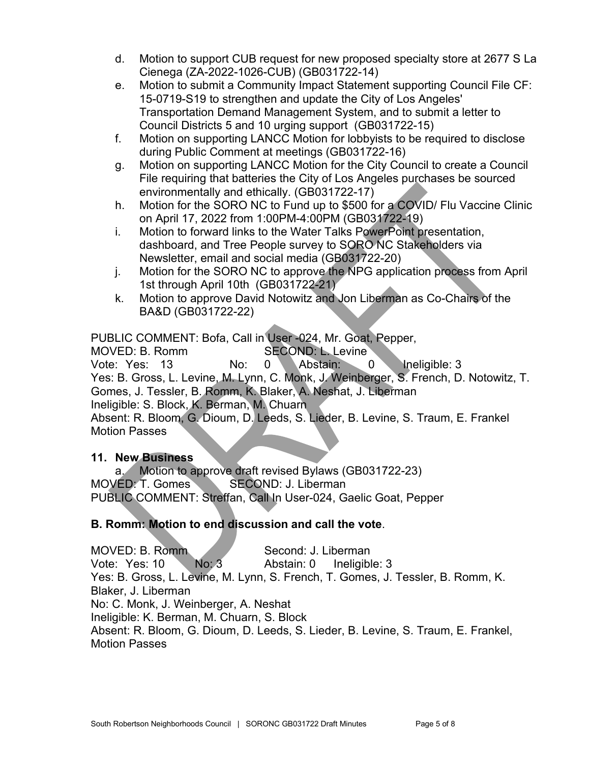- d. Motion to support CUB request for new proposed specialty store at 2677 S La Cienega (ZA-2022-1026-CUB) (GB031722-14)
- e. Motion to submit a Community Impact Statement supporting Council File CF: 15-0719-S19 to strengthen and update the City of Los Angeles' Transportation Demand Management System, and to submit a letter to Council Districts 5 and 10 urging support (GB031722-15)
- f. Motion on supporting LANCC Motion for lobbyists to be required to disclose during Public Comment at meetings (GB031722-16)
- g. Motion on supporting LANCC Motion for the City Council to create a Council File requiring that batteries the City of Los Angeles purchases be sourced environmentally and ethically. (GB031722-17)
- h. Motion for the SORO NC to Fund up to \$500 for a COVID/ Flu Vaccine Clinic on April 17, 2022 from 1:00PM-4:00PM (GB031722-19)
- i. Motion to forward links to the Water Talks PowerPoint presentation, dashboard, and Tree People survey to SORO NC Stakeholders via Newsletter, email and social media (GB031722-20)
- j. Motion for the SORO NC to approve the NPG application process from April 1st through April 10th (GB031722-21)
- k. Motion to approve David Notowitz and Jon Liberman as Co-Chairs of the BA&D (GB031722-22)

PUBLIC COMMENT: Bofa, Call in User -024, Mr. Goat, Pepper,

MOVED: B. Romm SECOND: L. Levine Vote: Yes: 13 No: 0 Abstain: 0 Ineligible: 3 Yes: B. Gross, L. Levine, M. Lynn, C. Monk, J. Weinberger, S. French, D. Notowitz, T. Gomes, J. Tessler, B. Romm, K. Blaker, A. Neshat, J. Liberman Ineligible: S. Block, K. Berman, M. Chuarn Absent: R. Bloom, G. Dioum, D. Leeds, S. Lieder, B. Levine, S. Traum, E. Frankel

Motion Passes

# **11. New Business**

a. Motion to approve draft revised Bylaws (GB031722-23) MOVED: T. Gomes SECOND: J. Liberman PUBLIC COMMENT: Streffan, Call In User-024, Gaelic Goat, Pepper

# **B. Romm: Motion to end discussion and call the vote**.

MOVED: B. Romm Second: J. Liberman Vote: Yes: 10 No: 3 Abstain: 0 Ineligible: 3 Yes: B. Gross, L. Levine, M. Lynn, S. French, T. Gomes, J. Tessler, B. Romm, K. Blaker, J. Liberman No: C. Monk, J. Weinberger, A. Neshat Ineligible: K. Berman, M. Chuarn, S. Block Absent: R. Bloom, G. Dioum, D. Leeds, S. Lieder, B. Levine, S. Traum, E. Frankel, Motion Passes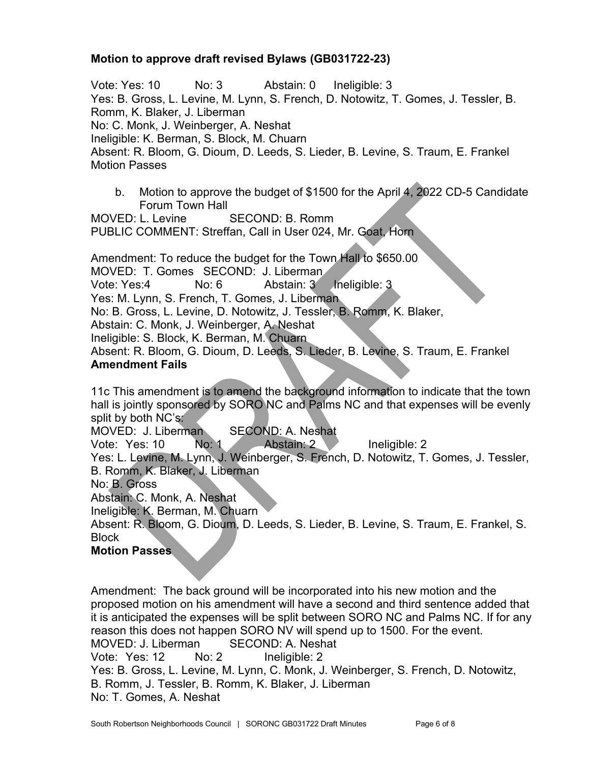# **Motion to approve draft revised Bylaws (GB031722-23)**

Vote: Yes: 10 No: 3 Abstain: 0 Ineligible: 3 Yes: B. Gross, L. Levine, M. Lynn, S. French, D. Notowitz, T. Gomes, J. Tessler, B. Romm, K. Blaker, J. Liberman No: C. Monk, J. Weinberger, A. Neshat Ineligible: K. Berman, S. Block, M. Chuarn Absent: R. Bloom, G. Dioum, D. Leeds, S. Lieder, B. Levine, S. Traum, E. Frankel Motion Passes

b. Motion to approve the budget of \$1500 for the April 4, 2022 CD-5 Candidate Forum Town Hall

MOVED: L. Levine SECOND: B. Romm PUBLIC COMMENT: Streffan, Call in User 024, Mr. Goat, Horn

Amendment: To reduce the budget for the Town Hall to \$650.00 MOVED: T. Gomes SECOND: J. Liberman Vote: Yes:4 No: 6 Abstain: 3 Ineligible: 3 Yes: M. Lynn, S. French, T. Gomes, J. Liberman No: B. Gross, L. Levine, D. Notowitz, J. Tessler, B. Romm, K. Blaker, Abstain: C. Monk, J. Weinberger, A. Neshat Ineligible: S. Block, K. Berman, M. Chuarn Absent: R. Bloom, G. Dioum, D. Leeds, S. Lieder, B. Levine, S. Traum, E. Frankel **Amendment Fails**

11c This amendment is to amend the background information to indicate that the town hall is jointly sponsored by SORO NC and Palms NC and that expenses will be evenly split by both NC's:

MOVED: J. Liberman SECOND: A. Neshat

Vote: Yes: 10 No: 1 Abstain: 2 Ineligible: 2

Yes: L. Levine, M. Lynn, J. Weinberger, S. French, D. Notowitz, T. Gomes, J. Tessler, B. Romm, K. Blaker, J. Liberman

No: B. Gross

Abstain: C. Monk, A. Neshat

Ineligible: K. Berman, M. Chuarn

Absent: R. Bloom, G. Dioum, D. Leeds, S. Lieder, B. Levine, S. Traum, E. Frankel, S. **Block** 

#### **Motion Passes**

Amendment: The back ground will be incorporated into his new motion and the proposed motion on his amendment will have a second and third sentence added that it is anticipated the expenses will be split between SORO NC and Palms NC. If for any reason this does not happen SORO NV will spend up to 1500. For the event. MOVED: J. Liberman SECOND: A. Neshat Vote: Yes: 12 No: 2 Ineligible: 2 Yes: B. Gross, L. Levine, M. Lynn, C. Monk, J. Weinberger, S. French, D. Notowitz, B. Romm, J. Tessler, B. Romm, K. Blaker, J. Liberman No: T. Gomes, A. Neshat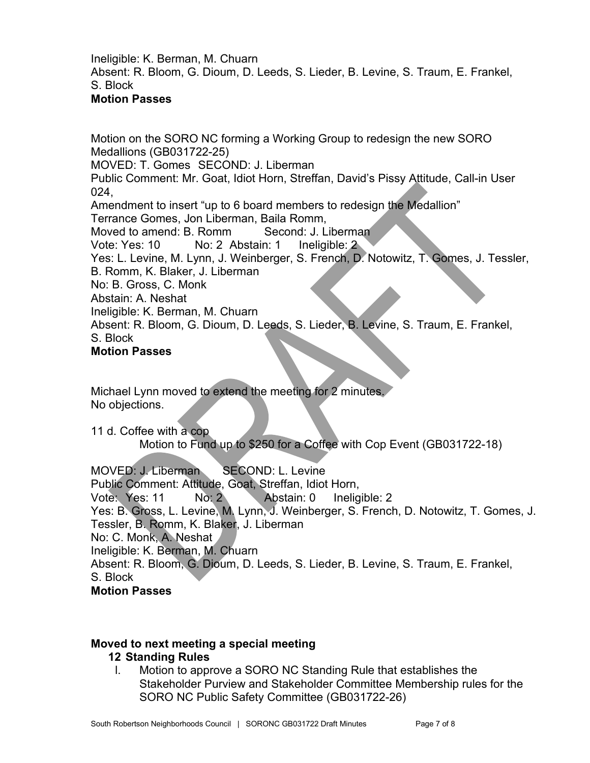Ineligible: K. Berman, M. Chuarn Absent: R. Bloom, G. Dioum, D. Leeds, S. Lieder, B. Levine, S. Traum, E. Frankel, S. Block

# **Motion Passes**

Motion on the SORO NC forming a Working Group to redesign the new SORO Medallions (GB031722-25) MOVED: T. Gomes SECOND: J. Liberman Public Comment: Mr. Goat, Idiot Horn, Streffan, David's Pissy Attitude, Call-in User 024, Amendment to insert "up to 6 board members to redesign the Medallion" Terrance Gomes, Jon Liberman, Baila Romm, Moved to amend: B. Romm Second: J. Liberman Vote: Yes: 10 No: 2 Abstain: 1 Ineligible: 2 Yes: L. Levine, M. Lynn, J. Weinberger, S. French, D. Notowitz, T. Gomes, J. Tessler, B. Romm, K. Blaker, J. Liberman No: B. Gross, C. Monk Abstain: A. Neshat Ineligible: K. Berman, M. Chuarn Absent: R. Bloom, G. Dioum, D. Leeds, S. Lieder, B. Levine, S. Traum, E. Frankel, S. Block **Motion Passes**

Michael Lynn moved to extend the meeting for 2 minutes. No objections.

11 d. Coffee with a cop

Motion to Fund up to \$250 for a Coffee with Cop Event (GB031722-18)

MOVED: J. Liberman SECOND: L. Levine Public Comment: Attitude, Goat, Streffan, Idiot Horn, Vote: Yes: 11 No: 2 Abstain: 0 Ineligible: 2 Yes: B. Gross, L. Levine, M. Lynn, J. Weinberger, S. French, D. Notowitz, T. Gomes, J. Tessler, B. Romm, K. Blaker, J. Liberman No: C. Monk, A. Neshat Ineligible: K. Berman, M. Chuarn Absent: R. Bloom, G. Dioum, D. Leeds, S. Lieder, B. Levine, S. Traum, E. Frankel, S. Block **Motion Passes**

# **Moved to next meeting a special meeting**

# **12 Standing Rules**

l. Motion to approve a SORO NC Standing Rule that establishes the Stakeholder Purview and Stakeholder Committee Membership rules for the SORO NC Public Safety Committee (GB031722-26)